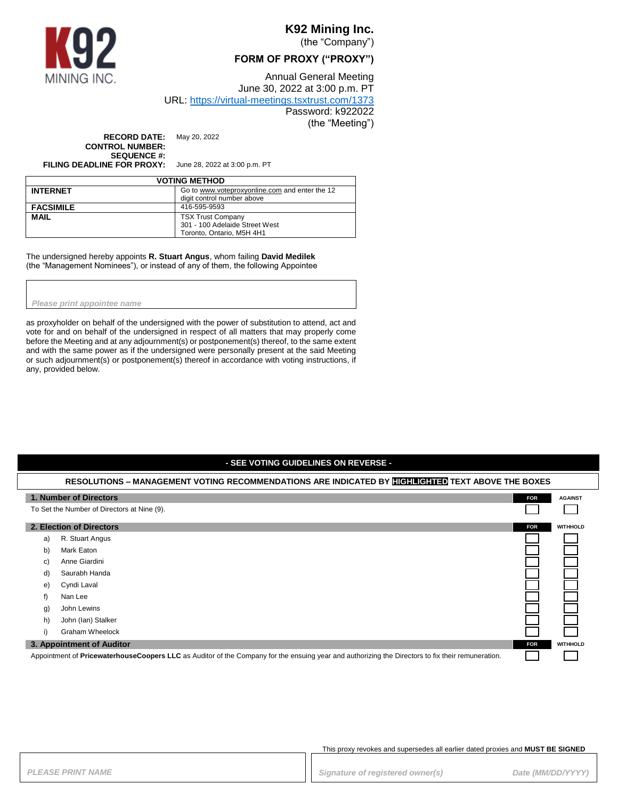

# **K92 Mining Inc.**

(the "Company")

#### **FORM OF PROXY ("PROXY")**

Annual General Meeting June 30, 2022 at 3:00 p.m. PT

URL:<https://virtual-meetings.tsxtrust.com/1373>

Password: k922022 (the "Meeting")

**RECORD DATE:** May 20, 2022 **CONTROL NUMBER: SEQUENCE #:**

**FILING DEADLINE FOR PROXY:** June 28, 2022 at 3:00 p.m. PT

| <b>VOTING METHOD</b> |                                                |
|----------------------|------------------------------------------------|
| <b>INTERNET</b>      | Go to www.voteproxyonline.com and enter the 12 |
|                      | digit control number above                     |
| <b>FACSIMILE</b>     | 416-595-9593                                   |
| <b>MAIL</b>          | <b>TSX Trust Company</b>                       |
|                      | 301 - 100 Adelaide Street West                 |
|                      | Toronto, Ontario, M5H 4H1                      |

The undersigned hereby appoints **R. Stuart Angus**, whom failing **David Medilek** (the "Management Nominees"), or instead of any of them, the following Appointee

*Please print appointee name*

as proxyholder on behalf of the undersigned with the power of substitution to attend, act and vote for and on behalf of the undersigned in respect of all matters that may properly come before the Meeting and at any adjournment(s) or postponement(s) thereof, to the same extent and with the same power as if the undersigned were personally present at the said Meeting or such adjournment(s) or postponement(s) thereof in accordance with voting instructions, if any, provided below.

#### **- SEE VOTING GUIDELINES ON REVERSE - RESOLUTIONS – MANAGEMENT VOTING RECOMMENDATIONS ARE INDICATED BY HIGHLIGHTED TEXT ABOVE THE BOXES 1. Number of Directors FOR FOR FOR FOR FOR FOR FOR FOR FOR FOR FOR FOR FOR AGAINST** To Set the Number of Directors at Nine (9). Г **2. Election of Directors FOR EXECUTE: FOR FOR FOR FOR FOR FOR FOR FOR FOR FOR FOR** a) R. Stuart Angus b) Mark Eaton c) Anne Giardini d) Saurabh Handa e) Cyndi Laval f) Nan Lee g) John Lewins h) John (Ian) Stalker i) Graham Wheelock **3. Appointment of Auditor FOR WITHHOLD**

Appointment of **PricewaterhouseCoopers LLC** as Auditor of the Company for the ensuing year and authorizing the Directors to fix their remuneration.

This proxy revokes and supersedes all earlier dated proxies and **MUST BE SIGNED**